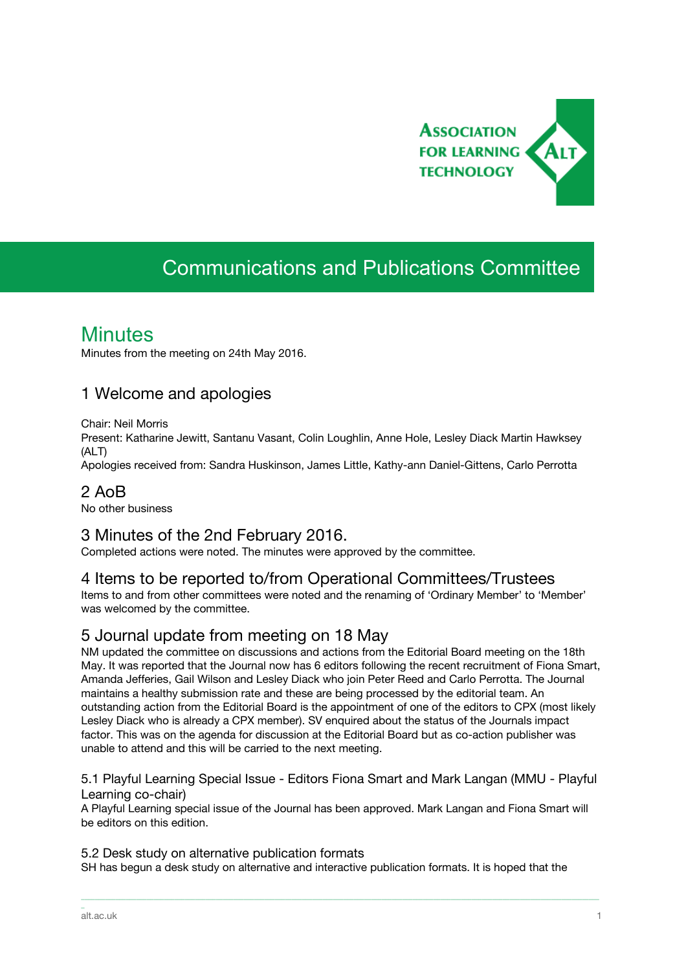

# Communications and Publications Committee

## **Minutes**

Minutes from the meeting on 24th May 2016.

#### 1 Welcome and apologies

Chair: Neil Morris

Present: Katharine Jewitt, Santanu Vasant, Colin Loughlin, Anne Hole, Lesley Diack Martin Hawksey (ALT)

Apologies received from: Sandra Huskinson, James Little, Kathy-ann Daniel-Gittens, Carlo Perrotta

#### 2 AoB

No other business

#### 3 Minutes of the 2nd February 2016.

Completed actions were noted. The minutes were approved by the committee.

#### 4 Items to be reported to/from Operational Committees/Trustees

Items to and from other committees were noted and the renaming of 'Ordinary Member' to 'Member' was welcomed by the committee.

### 5 Journal update from meeting on 18 May

NM updated the committee on discussions and actions from the Editorial Board meeting on the 18th May. It was reported that the Journal now has 6 editors following the recent recruitment of Fiona Smart, Amanda Jefferies, Gail Wilson and Lesley Diack who join Peter Reed and Carlo Perrotta. The Journal maintains a healthy submission rate and these are being processed by the editorial team. An outstanding action from the Editorial Board is the appointment of one of the editors to CPX (most likely Lesley Diack who is already a CPX member). SV enquired about the status of the Journals impact factor. This was on the agenda for discussion at the Editorial Board but as co-action publisher was unable to attend and this will be carried to the next meeting.

5.1 Playful Learning Special Issue - Editors Fiona Smart and Mark Langan (MMU - Playful Learning co-chair)

A Playful Learning special issue of the Journal has been approved. Mark Langan and Fiona Smart will be editors on this edition.

\_\_\_\_\_\_\_\_\_\_\_\_\_\_\_\_\_\_\_\_\_\_\_\_\_\_\_\_\_\_\_\_\_\_\_\_\_\_\_\_\_\_\_\_\_\_\_\_\_\_\_\_\_\_\_\_\_\_\_\_\_\_\_\_\_\_\_\_\_\_\_\_\_\_\_\_\_\_\_\_\_\_\_\_\_\_\_\_\_\_\_\_\_\_\_\_\_\_\_\_\_\_\_\_\_\_\_\_\_\_\_\_\_\_\_\_\_\_\_\_\_\_\_\_\_\_\_\_\_\_\_\_\_\_\_\_\_\_\_\_\_\_\_\_\_\_\_\_\_\_

#### 5.2 Desk study on alternative publication formats

SH has begun a desk study on alternative and interactive publication formats. It is hoped that the

\_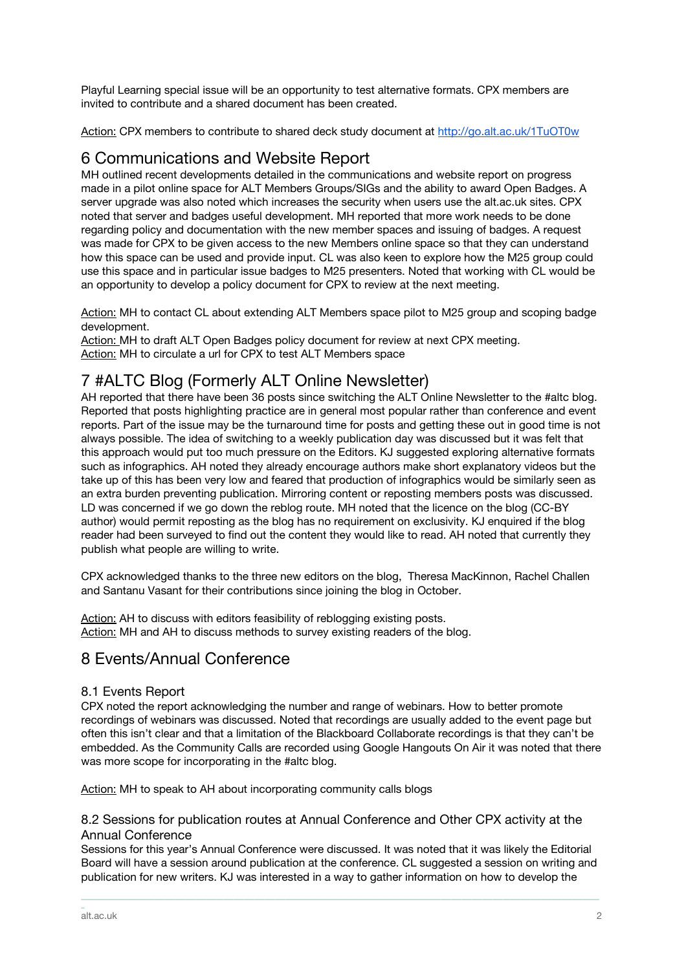Playful Learning special issue will be an opportunity to test alternative formats. CPX members are invited to contribute and a shared document has been created.

Action: CPX members to contribute to shared deck study document at <http://go.alt.ac.uk/1TuOT0w>

#### 6 Communications and Website Report

MH outlined recent developments detailed in the communications and website report on progress made in a pilot online space for ALT Members Groups/SIGs and the ability to award Open Badges. A server upgrade was also noted which increases the security when users use the alt.ac.uk sites. CPX noted that server and badges useful development. MH reported that more work needs to be done regarding policy and documentation with the new member spaces and issuing of badges. A request was made for CPX to be given access to the new Members online space so that they can understand how this space can be used and provide input. CL was also keen to explore how the M25 group could use this space and in particular issue badges to M25 presenters. Noted that working with CL would be an opportunity to develop a policy document for CPX to review at the next meeting.

Action: MH to contact CL about extending ALT Members space pilot to M25 group and scoping badge development.

Action: MH to draft ALT Open Badges policy document for review at next CPX meeting. Action: MH to circulate a url for CPX to test ALT Members space

## 7 #ALTC Blog (Formerly ALT Online Newsletter)

AH reported that there have been 36 posts since switching the ALT Online Newsletter to the #altc blog. Reported that posts highlighting practice are in general most popular rather than conference and event reports. Part of the issue may be the turnaround time for posts and getting these out in good time is not always possible. The idea of switching to a weekly publication day was discussed but it was felt that this approach would put too much pressure on the Editors. KJ suggested exploring alternative formats such as infographics. AH noted they already encourage authors make short explanatory videos but the take up of this has been very low and feared that production of infographics would be similarly seen as an extra burden preventing publication. Mirroring content or reposting members posts was discussed. LD was concerned if we go down the reblog route. MH noted that the licence on the blog (CC-BY author) would permit reposting as the blog has no requirement on exclusivity. KJ enquired if the blog reader had been surveyed to find out the content they would like to read. AH noted that currently they publish what people are willing to write.

CPX acknowledged thanks to the three new editors on the blog, Theresa MacKinnon, Rachel Challen and Santanu Vasant for their contributions since joining the blog in October.

Action: AH to discuss with editors feasibility of reblogging existing posts. Action: MH and AH to discuss methods to survey existing readers of the blog.

### 8 Events/Annual Conference

#### 8.1 Events Report

CPX noted the report acknowledging the number and range of webinars. How to better promote recordings of webinars was discussed. Noted that recordings are usually added to the event page but often this isn't clear and that a limitation of the Blackboard Collaborate recordings is that they can't be embedded. As the Community Calls are recorded using Google Hangouts On Air it was noted that there was more scope for incorporating in the #altc blog.

Action: MH to speak to AH about incorporating community calls blogs

#### 8.2 Sessions for publication routes at Annual Conference and Other CPX activity at the Annual Conference

Sessions for this year's Annual Conference were discussed. It was noted that it was likely the Editorial Board will have a session around publication at the conference. CL suggested a session on writing and publication for new writers. KJ was interested in a way to gather information on how to develop the

\_\_\_\_\_\_\_\_\_\_\_\_\_\_\_\_\_\_\_\_\_\_\_\_\_\_\_\_\_\_\_\_\_\_\_\_\_\_\_\_\_\_\_\_\_\_\_\_\_\_\_\_\_\_\_\_\_\_\_\_\_\_\_\_\_\_\_\_\_\_\_\_\_\_\_\_\_\_\_\_\_\_\_\_\_\_\_\_\_\_\_\_\_\_\_\_\_\_\_\_\_\_\_\_\_\_\_\_\_\_\_\_\_\_\_\_\_\_\_\_\_\_\_\_\_\_\_\_\_\_\_\_\_\_\_\_\_\_\_\_\_\_\_\_\_\_\_\_\_\_

\_